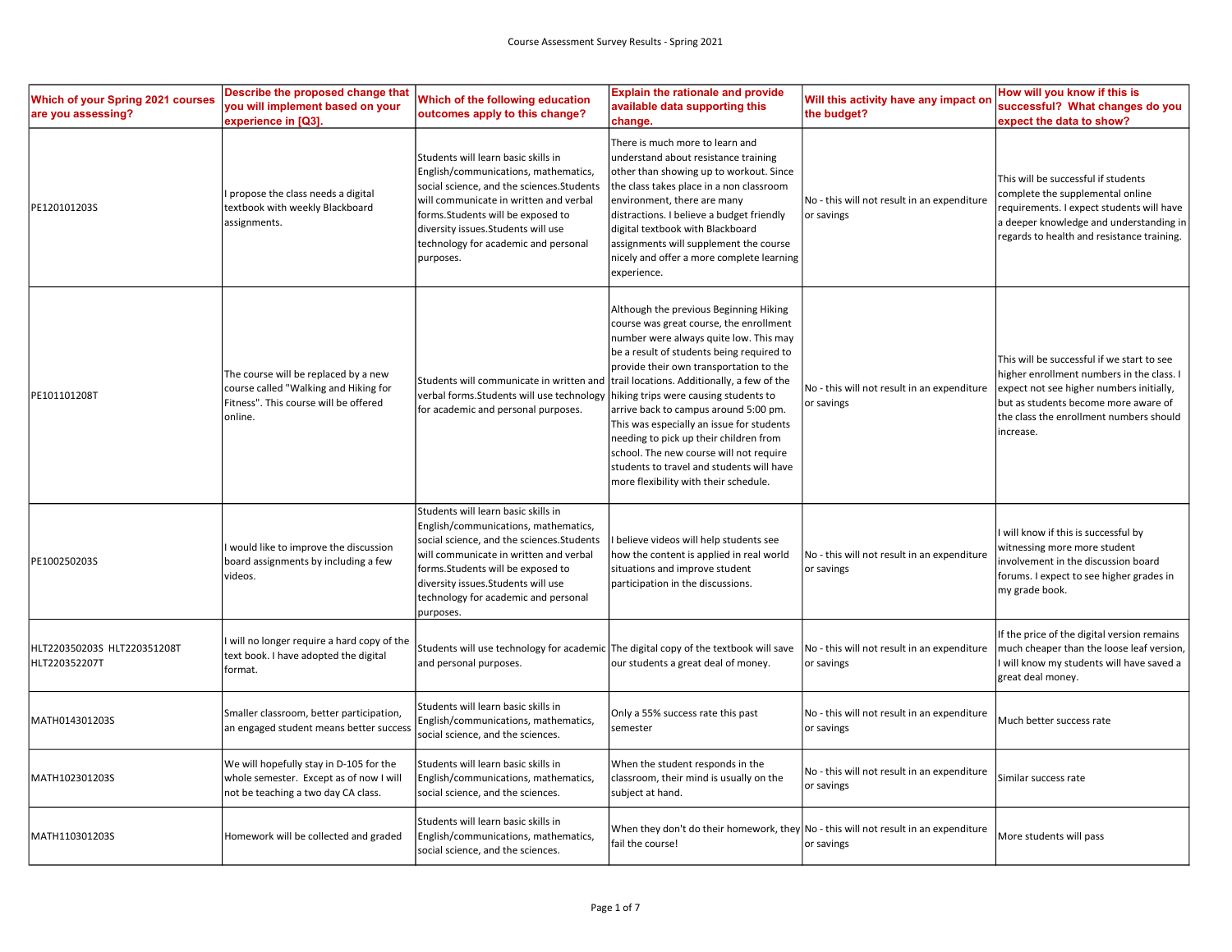| Which of your Spring 2021 courses<br>are you assessing? | Describe the proposed change that<br>you will implement based on your<br>experience in [Q3].                                      | Which of the following education<br>outcomes apply to this change?                                                                                                                                                                                                                                    | <b>Explain the rationale and provide</b><br>available data supporting this<br>change.                                                                                                                                                                                                                                                                                                                                                                                                                                                                                        | Will this activity have any impact on<br>the budget?      | How will you know if this is<br>successful? What changes do you<br>expect the data to show?                                                                                                                                         |
|---------------------------------------------------------|-----------------------------------------------------------------------------------------------------------------------------------|-------------------------------------------------------------------------------------------------------------------------------------------------------------------------------------------------------------------------------------------------------------------------------------------------------|------------------------------------------------------------------------------------------------------------------------------------------------------------------------------------------------------------------------------------------------------------------------------------------------------------------------------------------------------------------------------------------------------------------------------------------------------------------------------------------------------------------------------------------------------------------------------|-----------------------------------------------------------|-------------------------------------------------------------------------------------------------------------------------------------------------------------------------------------------------------------------------------------|
| PE120101203S                                            | propose the class needs a digital<br>textbook with weekly Blackboard<br>assignments.                                              | Students will learn basic skills in<br>English/communications, mathematics,<br>social science, and the sciences. Students<br>will communicate in written and verbal<br>forms. Students will be exposed to<br>diversity issues. Students will use<br>technology for academic and personal<br>purposes. | There is much more to learn and<br>understand about resistance training<br>other than showing up to workout. Since<br>the class takes place in a non classroom<br>environment, there are many<br>distractions. I believe a budget friendly<br>digital textbook with Blackboard<br>assignments will supplement the course<br>nicely and offer a more complete learning<br>experience.                                                                                                                                                                                         | No - this will not result in an expenditure<br>or savings | This will be successful if students<br>complete the supplemental online<br>equirements. I expect students will have<br>a deeper knowledge and understanding in<br>regards to health and resistance training.                        |
| PE101101208T                                            | The course will be replaced by a new<br>course called "Walking and Hiking for<br>Fitness". This course will be offered<br>online. | Students will communicate in written and<br>verbal forms. Students will use technology<br>for academic and personal purposes.                                                                                                                                                                         | Although the previous Beginning Hiking<br>course was great course, the enrollment<br>number were always quite low. This may<br>be a result of students being required to<br>provide their own transportation to the<br>trail locations. Additionally, a few of the<br>hiking trips were causing students to<br>arrive back to campus around 5:00 pm.<br>This was especially an issue for students<br>needing to pick up their children from<br>school. The new course will not require<br>students to travel and students will have<br>more flexibility with their schedule. | No - this will not result in an expenditure<br>or savings | This will be successful if we start to see<br>higher enrollment numbers in the class. I<br>expect not see higher numbers initially,<br>but as students become more aware of<br>the class the enrollment numbers should<br>increase. |
| PE100250203S                                            | would like to improve the discussion<br>board assignments by including a few<br>videos.                                           | Students will learn basic skills in<br>English/communications, mathematics,<br>social science, and the sciences. Students<br>will communicate in written and verbal<br>forms. Students will be exposed to<br>diversity issues. Students will use<br>technology for academic and personal<br>purposes. | believe videos will help students see<br>how the content is applied in real world<br>situations and improve student<br>participation in the discussions.                                                                                                                                                                                                                                                                                                                                                                                                                     | No - this will not result in an expenditure<br>or savings | will know if this is successful by<br>witnessing more more student<br>nvolvement in the discussion board<br>forums. I expect to see higher grades in<br>my grade book.                                                              |
| HLT220350203S HLT220351208T<br>HLT220352207T            | will no longer require a hard copy of the<br>text book. I have adopted the digital<br>format.                                     | Students will use technology for academic The digital copy of the textbook will save<br>and personal purposes.                                                                                                                                                                                        | our students a great deal of money.                                                                                                                                                                                                                                                                                                                                                                                                                                                                                                                                          | No - this will not result in an expenditure<br>or savings | If the price of the digital version remains<br>much cheaper than the loose leaf version,<br>I will know my students will have saved a<br>great deal money.                                                                          |
| MATH014301203S                                          | Smaller classroom, better participation,<br>an engaged student means better succes                                                | Students will learn basic skills in<br>English/communications, mathematics,<br>social science, and the sciences.                                                                                                                                                                                      | Only a 55% success rate this past<br>semester                                                                                                                                                                                                                                                                                                                                                                                                                                                                                                                                | No - this will not result in an expenditure<br>or savings | Much better success rate                                                                                                                                                                                                            |
| MATH102301203S                                          | We will hopefully stay in D-105 for the<br>whole semester. Except as of now I will<br>not be teaching a two day CA class.         | Students will learn basic skills in<br>English/communications, mathematics,<br>social science, and the sciences.                                                                                                                                                                                      | When the student responds in the<br>classroom, their mind is usually on the<br>subject at hand.                                                                                                                                                                                                                                                                                                                                                                                                                                                                              | No - this will not result in an expenditure<br>or savings | Similar success rate                                                                                                                                                                                                                |
| MATH110301203S                                          | Homework will be collected and graded                                                                                             | Students will learn basic skills in<br>English/communications, mathematics,<br>social science, and the sciences.                                                                                                                                                                                      | When they don't do their homework, they $\vert$ No - this will not result in an expenditure<br>fail the course!                                                                                                                                                                                                                                                                                                                                                                                                                                                              | or savings                                                | More students will pass                                                                                                                                                                                                             |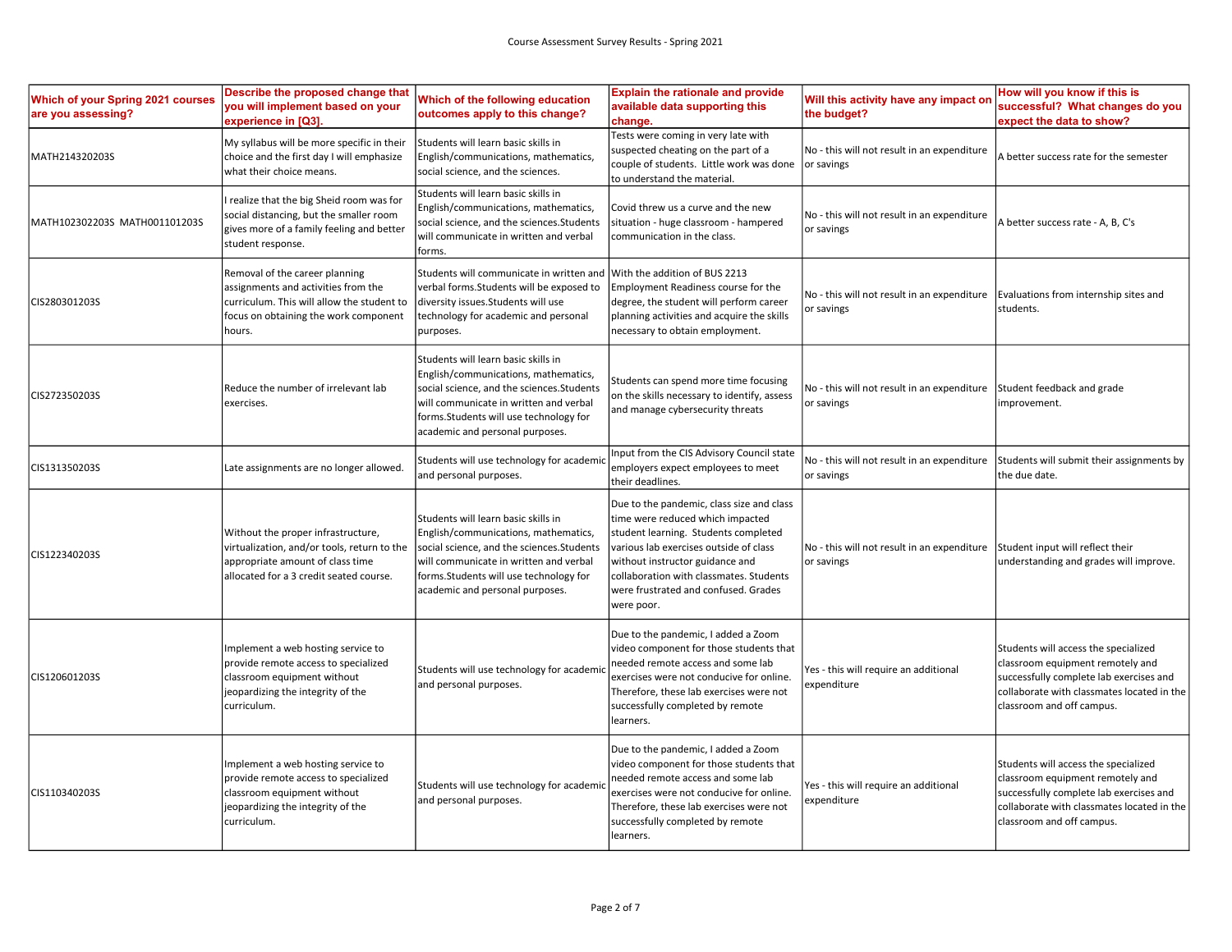| Which of your Spring 2021 courses<br>are you assessing? | Describe the proposed change that<br>you will implement based on your<br>experience in [Q3].                                                                           | Which of the following education<br>outcomes apply to this change?                                                                                                                                                                                | <b>Explain the rationale and provide</b><br>available data supporting this<br>change.                                                                                                                                                                                                               | Will this activity have any impact on<br>the budget?                                                        | How will you know if this is<br>successful? What changes do you<br>expect the data to show?                                                                                                    |
|---------------------------------------------------------|------------------------------------------------------------------------------------------------------------------------------------------------------------------------|---------------------------------------------------------------------------------------------------------------------------------------------------------------------------------------------------------------------------------------------------|-----------------------------------------------------------------------------------------------------------------------------------------------------------------------------------------------------------------------------------------------------------------------------------------------------|-------------------------------------------------------------------------------------------------------------|------------------------------------------------------------------------------------------------------------------------------------------------------------------------------------------------|
| MATH214320203S                                          | My syllabus will be more specific in their<br>choice and the first day I will emphasize<br>what their choice means.                                                    | Students will learn basic skills in<br>English/communications, mathematics,<br>social science, and the sciences.                                                                                                                                  | Tests were coming in very late with<br>suspected cheating on the part of a<br>couple of students. Little work was done<br>to understand the material                                                                                                                                                | No - this will not result in an expenditure<br>or savings                                                   | A better success rate for the semester                                                                                                                                                         |
| MATH102302203S MATH001101203S                           | realize that the big Sheid room was for<br>social distancing, but the smaller room<br>gives more of a family feeling and better<br>student response.                   | Students will learn basic skills in<br>English/communications, mathematics,<br>social science, and the sciences. Students<br>will communicate in written and verbal<br>forms.                                                                     | Covid threw us a curve and the new<br>situation - huge classroom - hampered<br>communication in the class.                                                                                                                                                                                          | No - this will not result in an expenditure<br>or savings                                                   | A better success rate - A, B, C's                                                                                                                                                              |
| CIS280301203S                                           | Removal of the career planning<br>assignments and activities from the<br>curriculum. This will allow the student to<br>focus on obtaining the work component<br>hours. | Students will communicate in written and<br>verbal forms. Students will be exposed to<br>diversity issues. Students will use<br>technology for academic and personal<br>purposes.                                                                 | With the addition of BUS 2213<br>Employment Readiness course for the<br>degree, the student will perform career<br>planning activities and acquire the skills<br>necessary to obtain employment.                                                                                                    | No - this will not result in an expenditure   Evaluations from internship sites and<br>or savings           | students.                                                                                                                                                                                      |
| CIS272350203S                                           | Reduce the number of irrelevant lab<br>exercises.                                                                                                                      | Students will learn basic skills in<br>English/communications, mathematics,<br>social science, and the sciences. Students<br>will communicate in written and verbal<br>forms. Students will use technology for<br>academic and personal purposes. | Students can spend more time focusing<br>on the skills necessary to identify, assess<br>and manage cybersecurity threats                                                                                                                                                                            | No - this will not result in an expenditure Student feedback and grade<br>or savings                        | improvement.                                                                                                                                                                                   |
| CIS131350203S                                           | Late assignments are no longer allowed.                                                                                                                                | Students will use technology for academic<br>and personal purposes.                                                                                                                                                                               | nput from the CIS Advisory Council state<br>employers expect employees to meet<br>their deadlines.                                                                                                                                                                                                  | No - this will not result in an expenditure $\vert$ Students will submit their assignments by<br>or savings | the due date.                                                                                                                                                                                  |
| CIS122340203S                                           | Without the proper infrastructure,<br>virtualization, and/or tools, return to the<br>appropriate amount of class time<br>allocated for a 3 credit seated course.       | Students will learn basic skills in<br>English/communications, mathematics,<br>social science, and the sciences. Students<br>will communicate in written and verbal<br>forms. Students will use technology for<br>academic and personal purposes. | Due to the pandemic, class size and class<br>time were reduced which impacted<br>student learning. Students completed<br>various lab exercises outside of class<br>without instructor guidance and<br>collaboration with classmates. Students<br>were frustrated and confused. Grades<br>were poor. | No - this will not result in an expenditure Student input will reflect their<br>or savings                  | understanding and grades will improve.                                                                                                                                                         |
| CIS120601203S                                           | mplement a web hosting service to<br>provide remote access to specialized<br>classroom equipment without<br>eopardizing the integrity of the<br>curriculum.            | Students will use technology for academic<br>and personal purposes.                                                                                                                                                                               | Due to the pandemic, I added a Zoom<br>video component for those students that<br>needed remote access and some lab<br>exercises were not conducive for online.<br>Therefore, these lab exercises were not<br>successfully completed by remote<br>learners.                                         | Yes - this will require an additional<br>expenditure                                                        | Students will access the specialized<br>classroom equipment remotely and<br>successfully complete lab exercises and<br>collaborate with classmates located in the<br>classroom and off campus. |
| CIS110340203S                                           | mplement a web hosting service to<br>provide remote access to specialized<br>classroom equipment without<br>eopardizing the integrity of the<br>curriculum.            | Students will use technology for academic<br>and personal purposes.                                                                                                                                                                               | Due to the pandemic, I added a Zoom<br>video component for those students that<br>needed remote access and some lab<br>exercises were not conducive for online.<br>Therefore, these lab exercises were not<br>successfully completed by remote<br>learners.                                         | Yes - this will require an additional<br>expenditure                                                        | Students will access the specialized<br>classroom equipment remotely and<br>successfully complete lab exercises and<br>collaborate with classmates located in the<br>classroom and off campus. |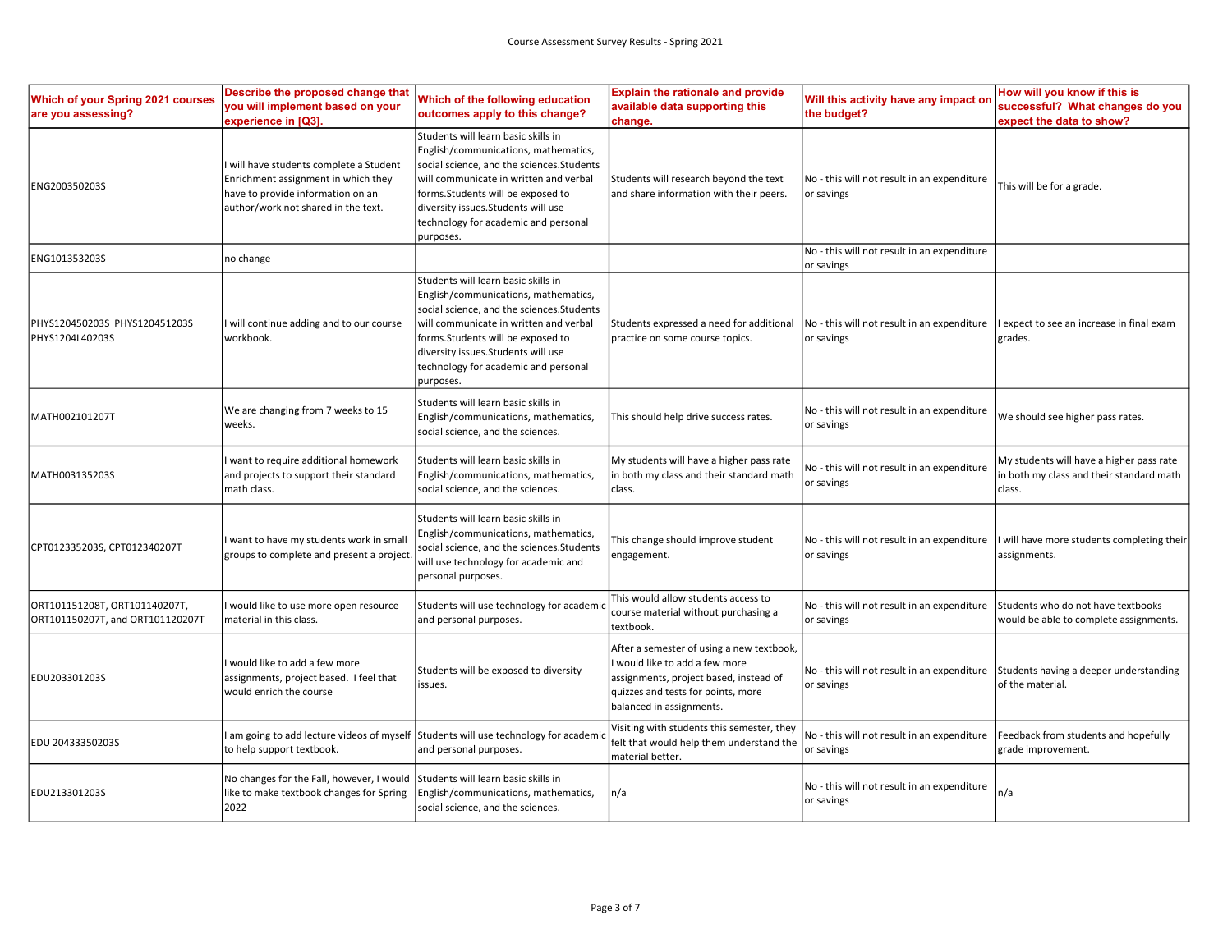| Which of your Spring 2021 courses<br>are you assessing?           | Describe the proposed change that<br>you will implement based on your<br>experience in [Q3].                                                             | Which of the following education<br>outcomes apply to this change?                                                                                                                                                                                                                                   | <b>Explain the rationale and provide</b><br>available data supporting this<br>change.                                                                                                 | Will this activity have any impact on<br>the budget?      | How will you know if this is<br>successful? What changes do you<br>expect the data to show?   |
|-------------------------------------------------------------------|----------------------------------------------------------------------------------------------------------------------------------------------------------|------------------------------------------------------------------------------------------------------------------------------------------------------------------------------------------------------------------------------------------------------------------------------------------------------|---------------------------------------------------------------------------------------------------------------------------------------------------------------------------------------|-----------------------------------------------------------|-----------------------------------------------------------------------------------------------|
| ENG200350203S                                                     | will have students complete a Student<br>Enrichment assignment in which they<br>have to provide information on an<br>author/work not shared in the text. | Students will learn basic skills in<br>English/communications, mathematics,<br>social science, and the sciences.Students<br>will communicate in written and verbal<br>forms. Students will be exposed to<br>diversity issues. Students will use<br>technology for academic and personal<br>purposes. | Students will research beyond the text<br>and share information with their peers.                                                                                                     | No - this will not result in an expenditure<br>or savings | This will be for a grade.                                                                     |
| ENG101353203S                                                     | no change                                                                                                                                                |                                                                                                                                                                                                                                                                                                      |                                                                                                                                                                                       | No - this will not result in an expenditure<br>or savings |                                                                                               |
| PHYS120450203S PHYS120451203S<br>PHYS1204L40203S                  | will continue adding and to our course<br>workbook.                                                                                                      | Students will learn basic skills in<br>English/communications, mathematics,<br>social science, and the sciences.Students<br>will communicate in written and verbal<br>forms.Students will be exposed to<br>diversity issues. Students will use<br>technology for academic and personal<br>purposes.  | Students expressed a need for additional<br>practice on some course topics.                                                                                                           | No - this will not result in an expenditure<br>or savings | expect to see an increase in final exam<br>grades.                                            |
| MATH002101207T                                                    | We are changing from 7 weeks to 15<br>weeks.                                                                                                             | Students will learn basic skills in<br>English/communications, mathematics,<br>social science, and the sciences.                                                                                                                                                                                     | This should help drive success rates.                                                                                                                                                 | No - this will not result in an expenditure<br>or savings | We should see higher pass rates.                                                              |
| MATH003135203S                                                    | want to require additional homework<br>and projects to support their standard<br>math class.                                                             | Students will learn basic skills in<br>English/communications, mathematics,<br>social science, and the sciences.                                                                                                                                                                                     | My students will have a higher pass rate<br>in both my class and their standard math<br>class.                                                                                        | No - this will not result in an expenditure<br>or savings | My students will have a higher pass rate<br>n both my class and their standard math<br>class. |
| CPT012335203S, CPT012340207T                                      | I want to have my students work in small<br>groups to complete and present a project                                                                     | Students will learn basic skills in<br>English/communications, mathematics,<br>social science, and the sciences.Students<br>will use technology for academic and<br>personal purposes.                                                                                                               | This change should improve student<br>engagement.                                                                                                                                     | No - this will not result in an expenditure<br>or savings | will have more students completing their<br>assignments.                                      |
| ORT101151208T, ORT101140207T,<br>ORT101150207T, and ORT101120207T | would like to use more open resource<br>material in this class.                                                                                          | Students will use technology for academic<br>and personal purposes.                                                                                                                                                                                                                                  | This would allow students access to<br>course material without purchasing a<br>textbook.                                                                                              | No - this will not result in an expenditure<br>or savings | Students who do not have textbooks<br>would be able to complete assignments.                  |
| EDU203301203S                                                     | would like to add a few more<br>assignments, project based. I feel that<br>would enrich the course                                                       | Students will be exposed to diversity<br>issues.                                                                                                                                                                                                                                                     | After a semester of using a new textbook,<br>would like to add a few more<br>assignments, project based, instead of<br>quizzes and tests for points, more<br>balanced in assignments. | No - this will not result in an expenditure<br>or savings | Students having a deeper understanding<br>of the material.                                    |
| EDU 20433350203S                                                  | am going to add lecture videos of myself Students will use technology for academic<br>to help support textbook.                                          | and personal purposes.                                                                                                                                                                                                                                                                               | Visiting with students this semester, they<br>felt that would help them understand the<br>material better.                                                                            | No - this will not result in an expenditure<br>or savings | Feedback from students and hopefully<br>grade improvement.                                    |
| EDU213301203S                                                     | No changes for the Fall, however, I would<br>like to make textbook changes for Spring<br>2022                                                            | Students will learn basic skills in<br>English/communications, mathematics,<br>social science, and the sciences.                                                                                                                                                                                     | n/a                                                                                                                                                                                   | No - this will not result in an expenditure<br>or savings | n/a                                                                                           |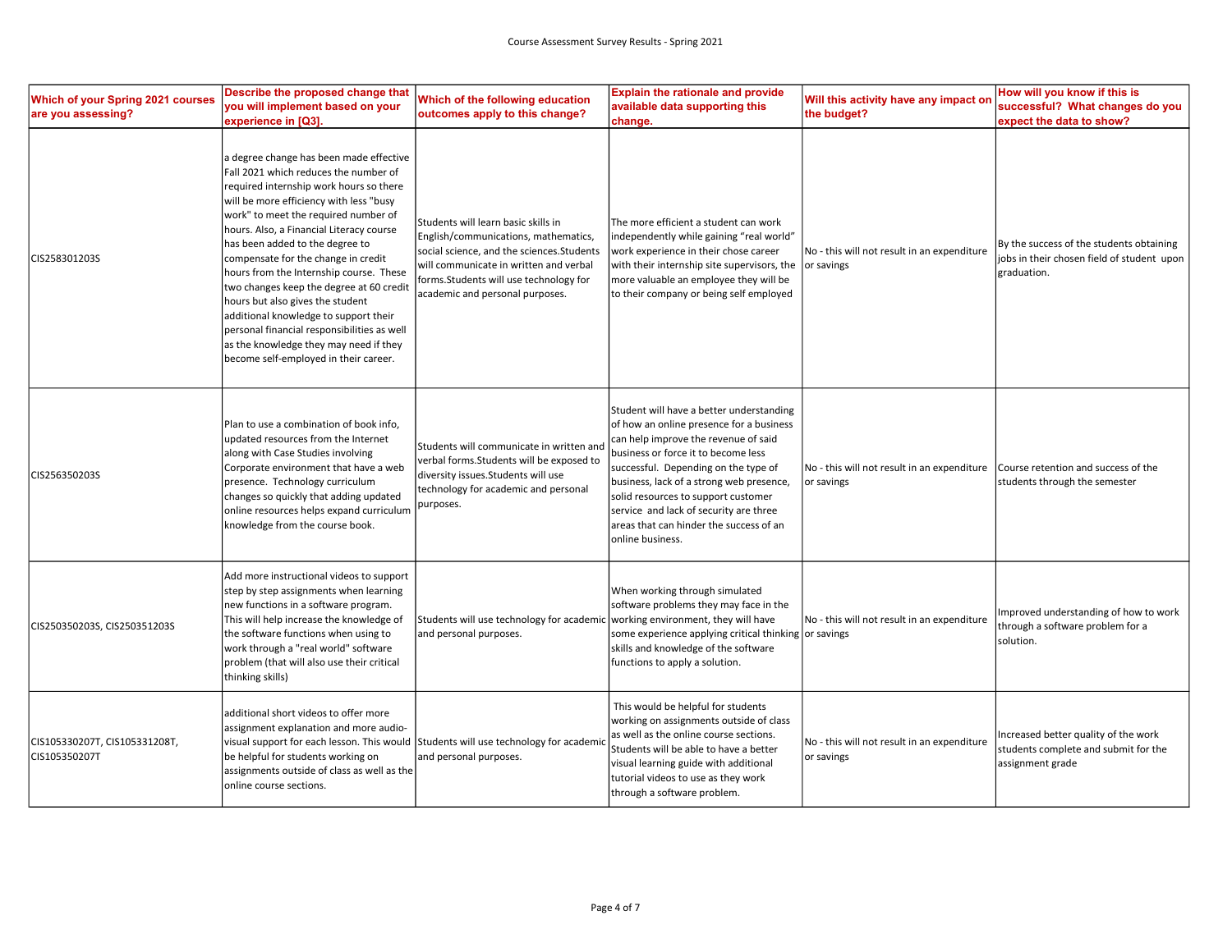| Which of your Spring 2021 courses<br>are you assessing? | Describe the proposed change that<br>you will implement based on your<br>experience in [Q3].                                                                                                                                                                                                                                                                                                                                                                                                                                                                                                                                               | Which of the following education<br>outcomes apply to this change?                                                                                                                                                                              | <b>Explain the rationale and provide</b><br>available data supporting this<br>change.                                                                                                                                                                                                                                                                                                                   | Will this activity have any impact on<br>the budget?      | How will you know if this is<br>successful? What changes do you<br>expect the data to show?           |
|---------------------------------------------------------|--------------------------------------------------------------------------------------------------------------------------------------------------------------------------------------------------------------------------------------------------------------------------------------------------------------------------------------------------------------------------------------------------------------------------------------------------------------------------------------------------------------------------------------------------------------------------------------------------------------------------------------------|-------------------------------------------------------------------------------------------------------------------------------------------------------------------------------------------------------------------------------------------------|---------------------------------------------------------------------------------------------------------------------------------------------------------------------------------------------------------------------------------------------------------------------------------------------------------------------------------------------------------------------------------------------------------|-----------------------------------------------------------|-------------------------------------------------------------------------------------------------------|
| CIS258301203S                                           | a degree change has been made effective<br>Fall 2021 which reduces the number of<br>required internship work hours so there<br>will be more efficiency with less "busy<br>work" to meet the required number of<br>hours. Also, a Financial Literacy course<br>has been added to the degree to<br>compensate for the change in credit<br>hours from the Internship course. These<br>two changes keep the degree at 60 credit<br>hours but also gives the student<br>additional knowledge to support their<br>personal financial responsibilities as well<br>as the knowledge they may need if they<br>become self-employed in their career. | Students will learn basic skills in<br>English/communications, mathematics,<br>social science, and the sciences.Students<br>will communicate in written and verbal<br>forms.Students will use technology for<br>academic and personal purposes. | The more efficient a student can work<br>independently while gaining "real world"<br>work experience in their chose career<br>with their internship site supervisors, the<br>more valuable an employee they will be<br>to their company or being self employed                                                                                                                                          | No - this will not result in an expenditure<br>or savings | By the success of the students obtaining<br>jobs in their chosen field of student upon<br>graduation. |
| CIS256350203S                                           | Plan to use a combination of book info,<br>updated resources from the Internet<br>along with Case Studies involving<br>Corporate environment that have a web<br>presence. Technology curriculum<br>changes so quickly that adding updated<br>online resources helps expand curriculum<br>knowledge from the course book.                                                                                                                                                                                                                                                                                                                   | Students will communicate in written and<br>verbal forms. Students will be exposed to<br>diversity issues.Students will use<br>technology for academic and personal<br>purposes.                                                                | Student will have a better understanding<br>of how an online presence for a business<br>can help improve the revenue of said<br>business or force it to become less<br>successful. Depending on the type of<br>business, lack of a strong web presence,<br>solid resources to support customer<br>service and lack of security are three<br>areas that can hinder the success of an<br>online business. | No - this will not result in an expenditure<br>or savings | Course retention and success of the<br>students through the semester                                  |
| CIS250350203S, CIS250351203S                            | Add more instructional videos to support<br>step by step assignments when learning<br>new functions in a software program.<br>This will help increase the knowledge of<br>the software functions when using to<br>work through a "real world" software<br>problem (that will also use their critical<br>thinking skills)                                                                                                                                                                                                                                                                                                                   | Students will use technology for academic<br>and personal purposes.                                                                                                                                                                             | When working through simulated<br>software problems they may face in the<br>working environment, they will have<br>some experience applying critical thinking or savings<br>skills and knowledge of the software<br>functions to apply a solution.                                                                                                                                                      | No - this will not result in an expenditure               | mproved understanding of how to work<br>through a software problem for a<br>solution.                 |
| CIS105330207T, CIS105331208T,<br>CIS105350207T          | additional short videos to offer more<br>assignment explanation and more audio-<br>visual support for each lesson. This would Students will use technology for academic<br>be helpful for students working on<br>assignments outside of class as well as the<br>online course sections.                                                                                                                                                                                                                                                                                                                                                    | and personal purposes.                                                                                                                                                                                                                          | This would be helpful for students<br>working on assignments outside of class<br>as well as the online course sections.<br>Students will be able to have a better<br>visual learning guide with additional<br>tutorial videos to use as they work<br>through a software problem.                                                                                                                        | No - this will not result in an expenditure<br>or savings | ncreased better quality of the work<br>students complete and submit for the<br>assignment grade       |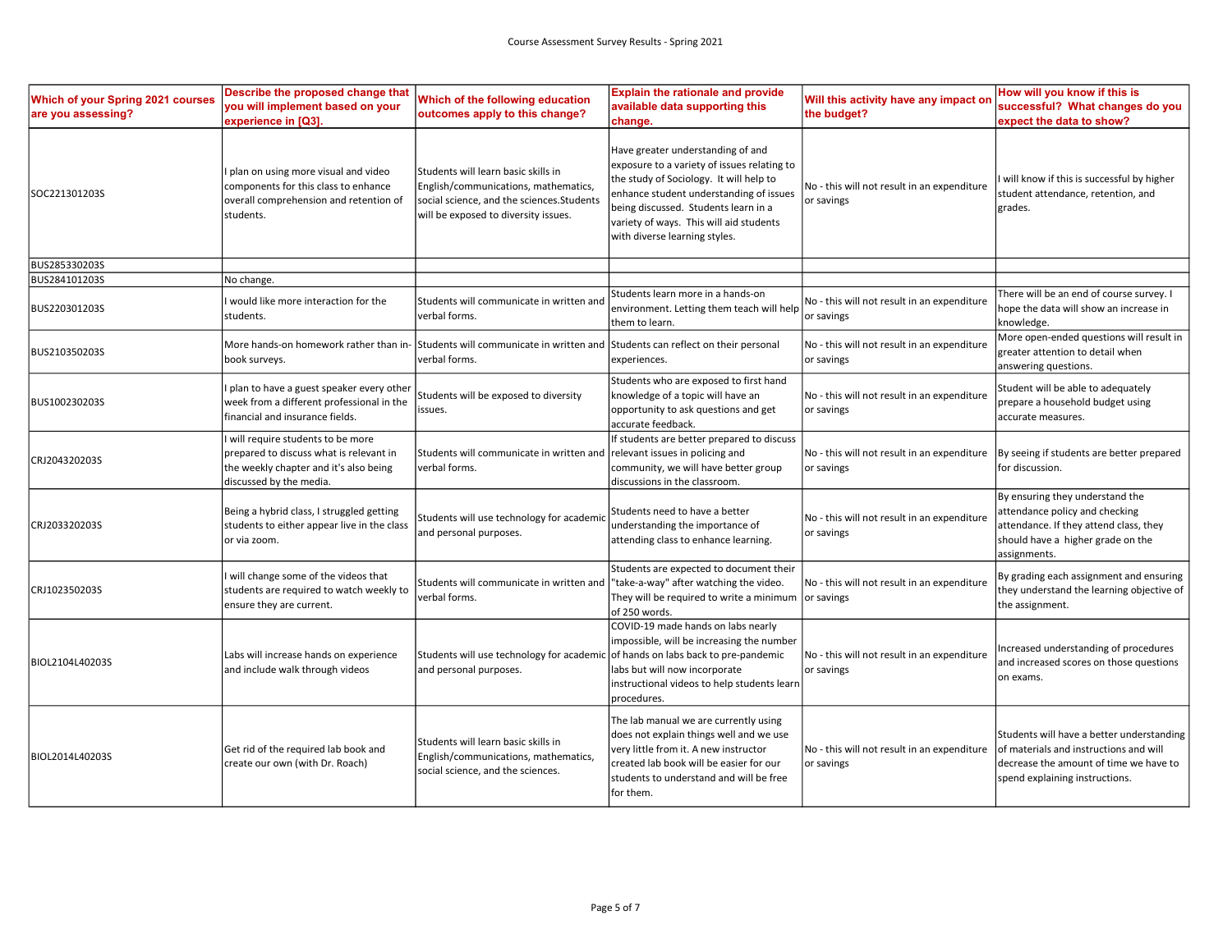| Which of your Spring 2021 courses<br>are you assessing? | Describe the proposed change that<br>you will implement based on your<br>experience in [Q3].                                                     | Which of the following education<br>outcomes apply to this change?                                                                                                | <b>Explain the rationale and provide</b><br>available data supporting this<br>change.                                                                                                                                                                                                      | Will this activity have any impact on<br>the budget?      | How will you know if this is<br>successful? What changes do you<br>expect the data to show?                                                                      |
|---------------------------------------------------------|--------------------------------------------------------------------------------------------------------------------------------------------------|-------------------------------------------------------------------------------------------------------------------------------------------------------------------|--------------------------------------------------------------------------------------------------------------------------------------------------------------------------------------------------------------------------------------------------------------------------------------------|-----------------------------------------------------------|------------------------------------------------------------------------------------------------------------------------------------------------------------------|
| SOC221301203S                                           | I plan on using more visual and video<br>components for this class to enhance<br>overall comprehension and retention of<br>students.             | Students will learn basic skills in<br>English/communications, mathematics,<br>social science, and the sciences. Students<br>will be exposed to diversity issues. | Have greater understanding of and<br>exposure to a variety of issues relating to<br>the study of Sociology. It will help to<br>enhance student understanding of issues<br>being discussed. Students learn in a<br>variety of ways. This will aid students<br>with diverse learning styles. | No - this will not result in an expenditure<br>or savings | will know if this is successful by higher<br>student attendance, retention, and<br>grades.                                                                       |
| BUS285330203S                                           |                                                                                                                                                  |                                                                                                                                                                   |                                                                                                                                                                                                                                                                                            |                                                           |                                                                                                                                                                  |
| BUS284101203S                                           | No change.                                                                                                                                       |                                                                                                                                                                   |                                                                                                                                                                                                                                                                                            |                                                           |                                                                                                                                                                  |
| BUS220301203S                                           | I would like more interaction for the<br>students.                                                                                               | Students will communicate in written and<br>verbal forms.                                                                                                         | Students learn more in a hands-on<br>environment. Letting them teach will help<br>them to learn.                                                                                                                                                                                           | No - this will not result in an expenditure<br>or savings | There will be an end of course survey. I<br>hope the data will show an increase in<br>knowledge.                                                                 |
| BUS210350203S                                           | More hands-on homework rather than in-<br>book surveys.                                                                                          | Students will communicate in written and<br>verbal forms.                                                                                                         | Students can reflect on their personal<br>experiences.                                                                                                                                                                                                                                     | No - this will not result in an expenditure<br>or savings | More open-ended questions will result in<br>greater attention to detail when<br>answering questions.                                                             |
| BUS100230203S                                           | plan to have a guest speaker every other<br>week from a different professional in the<br>financial and insurance fields.                         | Students will be exposed to diversity<br>issues.                                                                                                                  | Students who are exposed to first hand<br>knowledge of a topic will have an<br>opportunity to ask questions and get<br>accurate feedback.                                                                                                                                                  | No - this will not result in an expenditure<br>or savings | Student will be able to adequately<br>prepare a household budget using<br>accurate measures.                                                                     |
| CRJ204320203S                                           | will require students to be more<br>prepared to discuss what is relevant in<br>the weekly chapter and it's also being<br>discussed by the media. | Students will communicate in written and<br>verbal forms.                                                                                                         | If students are better prepared to discuss<br>relevant issues in policing and<br>community, we will have better group<br>discussions in the classroom.                                                                                                                                     | No - this will not result in an expenditure<br>or savings | By seeing if students are better prepared<br>for discussion.                                                                                                     |
| CRJ203320203S                                           | Being a hybrid class, I struggled getting<br>students to either appear live in the class<br>or via zoom.                                         | Students will use technology for academio<br>and personal purposes.                                                                                               | Students need to have a better<br>understanding the importance of<br>attending class to enhance learning.                                                                                                                                                                                  | No - this will not result in an expenditure<br>or savings | By ensuring they understand the<br>attendance policy and checking<br>attendance. If they attend class, they<br>should have a higher grade on the<br>assignments. |
| CRJ102350203S                                           | I will change some of the videos that<br>students are required to watch weekly to<br>ensure they are current.                                    | Students will communicate in written and<br>verbal forms.                                                                                                         | Students are expected to document their<br>"take-a-way" after watching the video.<br>They will be required to write a minimum  or savings<br>of 250 words.                                                                                                                                 | No - this will not result in an expenditure               | By grading each assignment and ensuring<br>they understand the learning objective of<br>the assignment.                                                          |
| BIOL2104L40203S                                         | Labs will increase hands on experience<br>and include walk through videos                                                                        | Students will use technology for academic<br>and personal purposes.                                                                                               | COVID-19 made hands on labs nearly<br>impossible, will be increasing the number<br>of hands on labs back to pre-pandemic<br>labs but will now incorporate<br>instructional videos to help students learn<br>procedures.                                                                    | No - this will not result in an expenditure<br>or savings | Increased understanding of procedures<br>and increased scores on those questions<br>on exams.                                                                    |
| BIOL2014L40203S                                         | Get rid of the required lab book and<br>create our own (with Dr. Roach)                                                                          | Students will learn basic skills in<br>English/communications, mathematics,<br>social science, and the sciences.                                                  | The lab manual we are currently using<br>does not explain things well and we use<br>very little from it. A new instructor<br>created lab book will be easier for our<br>students to understand and will be free<br>for them.                                                               | No - this will not result in an expenditure<br>or savings | Students will have a better understanding<br>of materials and instructions and will<br>decrease the amount of time we have to<br>spend explaining instructions.  |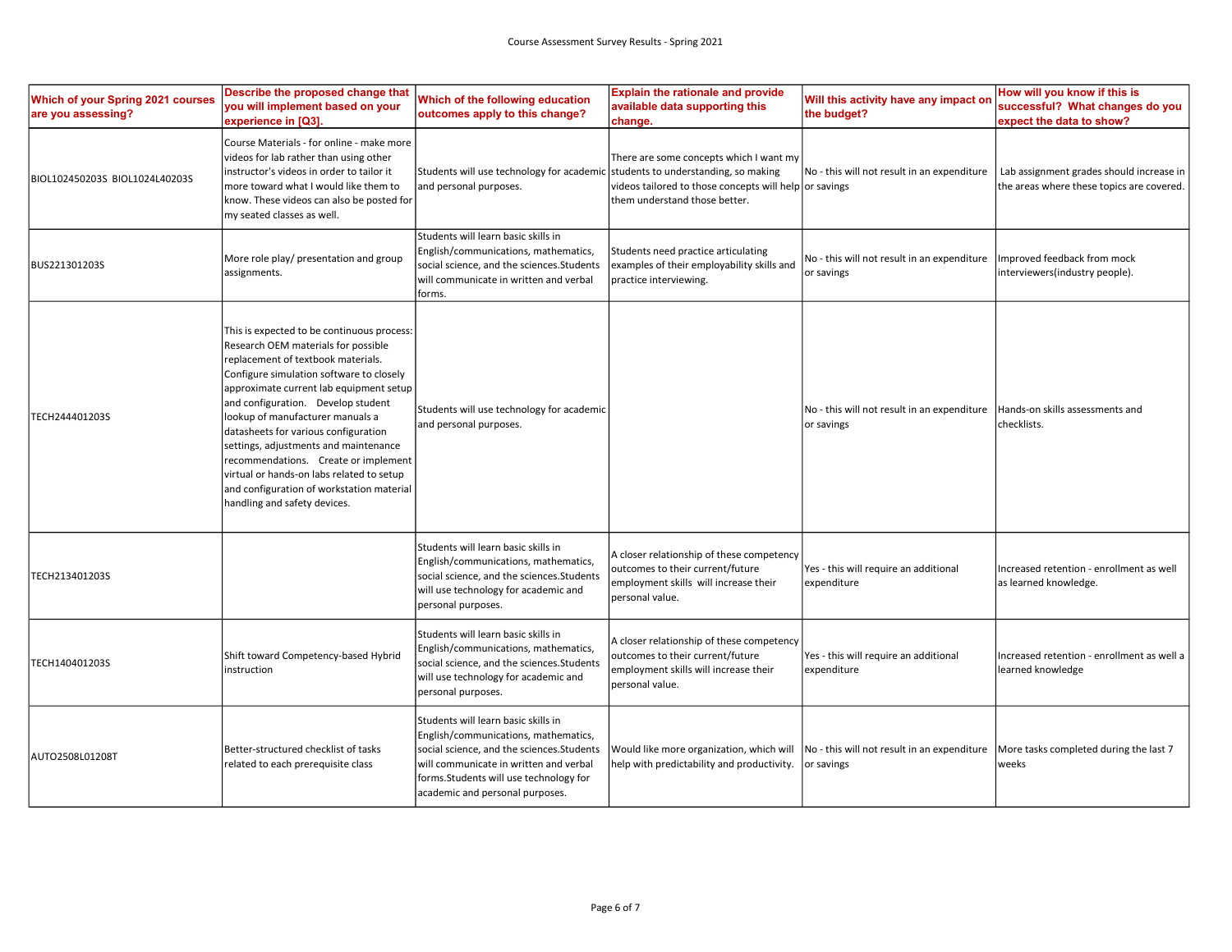| Which of your Spring 2021 courses<br>are you assessing? | Describe the proposed change that<br>you will implement based on your<br>experience in [Q3].                                                                                                                                                                                                                                                                                                                                                                                                                                                | Which of the following education<br>outcomes apply to this change?                                                                                                                                                                                | <b>Explain the rationale and provide</b><br>available data supporting this<br>change.                                                                                      | Will this activity have any impact on<br>the budget?                                                                           | How will you know if this is<br>successful? What changes do you<br>expect the data to show? |
|---------------------------------------------------------|---------------------------------------------------------------------------------------------------------------------------------------------------------------------------------------------------------------------------------------------------------------------------------------------------------------------------------------------------------------------------------------------------------------------------------------------------------------------------------------------------------------------------------------------|---------------------------------------------------------------------------------------------------------------------------------------------------------------------------------------------------------------------------------------------------|----------------------------------------------------------------------------------------------------------------------------------------------------------------------------|--------------------------------------------------------------------------------------------------------------------------------|---------------------------------------------------------------------------------------------|
| BIOL102450203S BIOL1024L40203S                          | Course Materials - for online - make more<br>videos for lab rather than using other<br>instructor's videos in order to tailor it<br>more toward what I would like them to<br>know. These videos can also be posted for<br>my seated classes as well.                                                                                                                                                                                                                                                                                        | Students will use technology for academic<br>and personal purposes.                                                                                                                                                                               | There are some concepts which I want my<br>students to understanding, so making<br>videos tailored to those concepts will help or savings<br>them understand those better. | No - this will not result in an expenditure                                                                                    | Lab assignment grades should increase in<br>the areas where these topics are covered.       |
| BUS221301203S                                           | More role play/ presentation and group<br>assignments.                                                                                                                                                                                                                                                                                                                                                                                                                                                                                      | Students will learn basic skills in<br>English/communications, mathematics,<br>social science, and the sciences.Students<br>will communicate in written and verbal<br>forms.                                                                      | Students need practice articulating<br>examples of their employability skills and<br>practice interviewing.                                                                | No - this will not result in an expenditure<br>or savings                                                                      | Improved feedback from mock<br>interviewers(industry people).                               |
| TECH244401203S                                          | This is expected to be continuous process:<br>Research OEM materials for possible<br>replacement of textbook materials.<br>Configure simulation software to closely<br>approximate current lab equipment setup<br>and configuration. Develop student<br>lookup of manufacturer manuals a<br>datasheets for various configuration<br>settings, adjustments and maintenance<br>recommendations. Create or implement<br>virtual or hands-on labs related to setup<br>and configuration of workstation material<br>handling and safety devices. | Students will use technology for academic<br>and personal purposes.                                                                                                                                                                               |                                                                                                                                                                            | No - this will not result in an expenditure<br>or savings                                                                      | Hands-on skills assessments and<br>checklists.                                              |
| TECH213401203S                                          |                                                                                                                                                                                                                                                                                                                                                                                                                                                                                                                                             | Students will learn basic skills in<br>English/communications, mathematics,<br>social science, and the sciences. Students<br>will use technology for academic and<br>personal purposes.                                                           | A closer relationship of these competency<br>outcomes to their current/future<br>employment skills will increase their<br>personal value.                                  | Yes - this will require an additional<br>expenditure                                                                           | Increased retention - enrollment as well<br>as learned knowledge.                           |
| TECH140401203S                                          | Shift toward Competency-based Hybrid<br>instruction                                                                                                                                                                                                                                                                                                                                                                                                                                                                                         | Students will learn basic skills in<br>English/communications, mathematics,<br>social science, and the sciences.Students<br>will use technology for academic and<br>personal purposes.                                                            | A closer relationship of these competency<br>outcomes to their current/future<br>employment skills will increase their<br>personal value.                                  | Yes - this will require an additional<br>expenditure                                                                           | Increased retention - enrollment as well a<br>learned knowledge                             |
| AUTO2508L01208T                                         | Better-structured checklist of tasks<br>related to each prerequisite class                                                                                                                                                                                                                                                                                                                                                                                                                                                                  | Students will learn basic skills in<br>English/communications, mathematics,<br>social science, and the sciences. Students<br>will communicate in written and verbal<br>forms. Students will use technology for<br>academic and personal purposes. | Would like more organization, which will<br>help with predictability and productivity.                                                                                     | $\overline{a}$ No - this will not result in an expenditure $\overline{a}$ More tasks completed during the last 7<br>or savings | weeks                                                                                       |